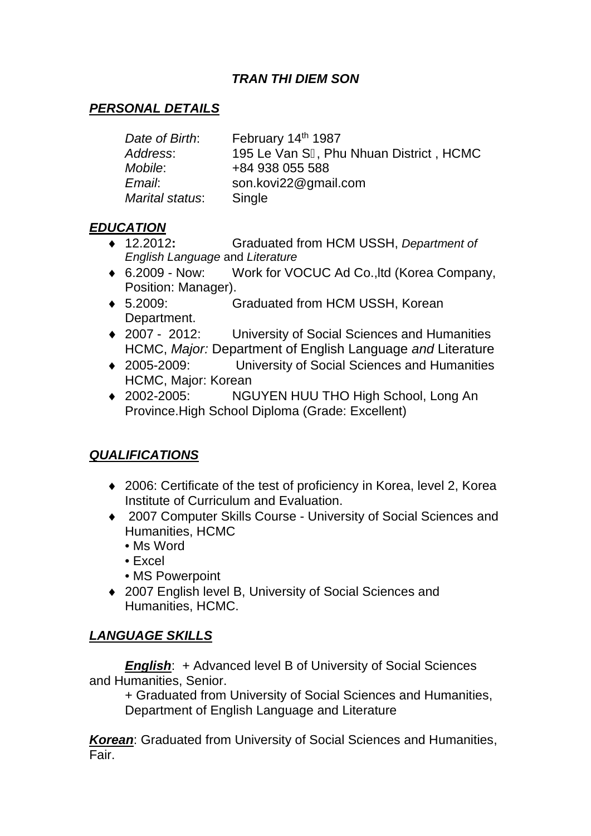# *TRAN THI DIEM SON*

#### *PERSONAL DETAILS*

| Date of Birth:  | February 14th 1987                     |
|-----------------|----------------------------------------|
| Address:        | 195 Le Van S, Phu Nhuan District, HCMC |
| <i>Mobile</i> : | +84 938 055 588                        |
| Email:          | son.kovi22@gmail.com                   |
| Marital status: | Single                                 |

#### *EDUCATION*

- 12.2012**:** Graduated from HCM USSH, *Department of English Language* and *Literature*
- 6.2009 Now: Work for VOCUC Ad Co.,ltd (Korea Company, Position: Manager).
- 5.2009: Graduated from HCM USSH, Korean Department.
- ◆ 2007 2012: University of Social Sciences and Humanities HCMC, *Major:* Department of English Language *and* Literature
- 2005-2009: University of Social Sciences and Humanities HCMC, Major: Korean
- ◆ 2002-2005: NGUYEN HUU THO High School, Long An Province.High School Diploma (Grade: Excellent)

# *QUALIFICATIONS*

- ◆ 2006: Certificate of the test of proficiency in Korea, level 2, Korea Institute of Curriculum and Evaluation.
- 2007 Computer Skills Course University of Social Sciences and Humanities, HCMC
	- Ms Word
	- Excel
	- MS Powerpoint
- ◆ 2007 English level B, University of Social Sciences and Humanities, HCMC.

# *LANGUAGE SKILLS*

*English:* + Advanced level B of University of Social Sciences and Humanities, Senior.

+ Graduated from University of Social Sciences and Humanities, Department of English Language and Literature

*Korean*: Graduated from University of Social Sciences and Humanities, Fair.